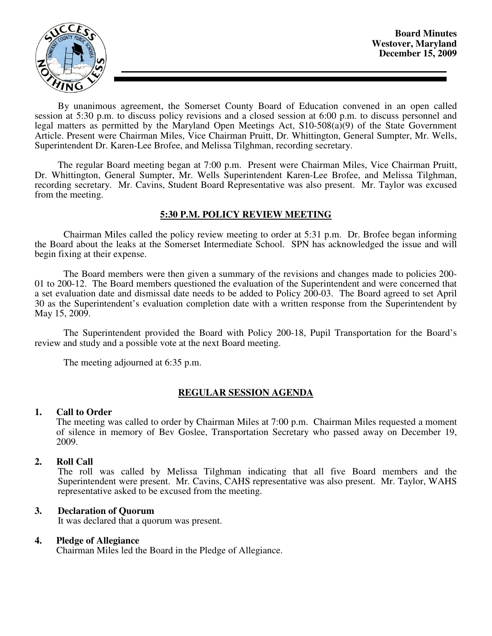

By unanimous agreement, the Somerset County Board of Education convened in an open called session at 5:30 p.m. to discuss policy revisions and a closed session at 6:00 p.m. to discuss personnel and legal matters as permitted by the Maryland Open Meetings Act, S10-508(a)(9) of the State Government Article. Present were Chairman Miles, Vice Chairman Pruitt, Dr. Whittington, General Sumpter, Mr. Wells, Superintendent Dr. Karen-Lee Brofee, and Melissa Tilghman, recording secretary.

The regular Board meeting began at 7:00 p.m. Present were Chairman Miles, Vice Chairman Pruitt, Dr. Whittington, General Sumpter, Mr. Wells Superintendent Karen-Lee Brofee, and Melissa Tilghman, recording secretary. Mr. Cavins, Student Board Representative was also present. Mr. Taylor was excused from the meeting.

# **5:30 P.M. POLICY REVIEW MEETING**

Chairman Miles called the policy review meeting to order at 5:31 p.m. Dr. Brofee began informing the Board about the leaks at the Somerset Intermediate School. SPN has acknowledged the issue and will begin fixing at their expense.

The Board members were then given a summary of the revisions and changes made to policies 200- 01 to 200-12. The Board members questioned the evaluation of the Superintendent and were concerned that a set evaluation date and dismissal date needs to be added to Policy 200-03. The Board agreed to set April 30 as the Superintendent's evaluation completion date with a written response from the Superintendent by May 15, 2009.

The Superintendent provided the Board with Policy 200-18, Pupil Transportation for the Board's review and study and a possible vote at the next Board meeting.

The meeting adjourned at 6:35 p.m.

# **REGULAR SESSION AGENDA**

### **1. Call to Order**

The meeting was called to order by Chairman Miles at 7:00 p.m. Chairman Miles requested a moment of silence in memory of Bev Goslee, Transportation Secretary who passed away on December 19, 2009.

### **2. Roll Call**

The roll was called by Melissa Tilghman indicating that all five Board members and the Superintendent were present. Mr. Cavins, CAHS representative was also present. Mr. Taylor, WAHS representative asked to be excused from the meeting.

### **3. Declaration of Quorum**

It was declared that a quorum was present.

### **4. Pledge of Allegiance**

Chairman Miles led the Board in the Pledge of Allegiance.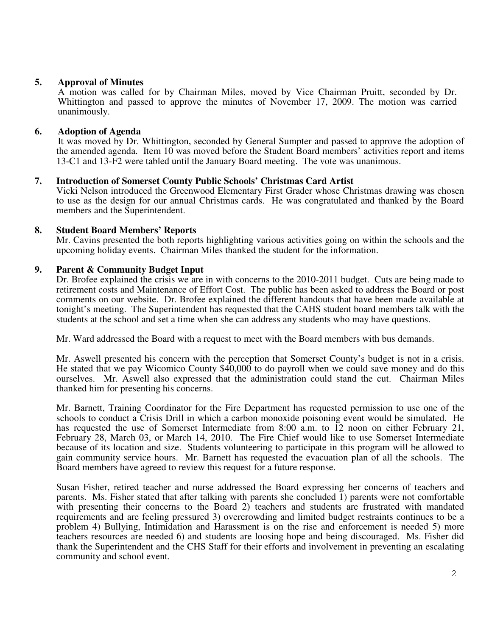# **5. Approval of Minutes**

 A motion was called for by Chairman Miles, moved by Vice Chairman Pruitt, seconded by Dr. Whittington and passed to approve the minutes of November 17, 2009. The motion was carried unanimously.

# **6. Adoption of Agenda**

 It was moved by Dr. Whittington, seconded by General Sumpter and passed to approve the adoption of the amended agenda. Item 10 was moved before the Student Board members' activities report and items 13-C1 and 13-F2 were tabled until the January Board meeting. The vote was unanimous.

# **7. Introduction of Somerset County Public Schools' Christmas Card Artist**

Vicki Nelson introduced the Greenwood Elementary First Grader whose Christmas drawing was chosen to use as the design for our annual Christmas cards. He was congratulated and thanked by the Board members and the Superintendent.

## **8. Student Board Members' Reports**

Mr. Cavins presented the both reports highlighting various activities going on within the schools and the upcoming holiday events. Chairman Miles thanked the student for the information.

## **9. Parent & Community Budget Input**

Dr. Brofee explained the crisis we are in with concerns to the 2010-2011 budget. Cuts are being made to retirement costs and Maintenance of Effort Cost. The public has been asked to address the Board or post comments on our website. Dr. Brofee explained the different handouts that have been made available at tonight's meeting. The Superintendent has requested that the CAHS student board members talk with the students at the school and set a time when she can address any students who may have questions.

Mr. Ward addressed the Board with a request to meet with the Board members with bus demands.

Mr. Aswell presented his concern with the perception that Somerset County's budget is not in a crisis. He stated that we pay Wicomico County \$40,000 to do payroll when we could save money and do this ourselves. Mr. Aswell also expressed that the administration could stand the cut. Chairman Miles thanked him for presenting his concerns.

Mr. Barnett, Training Coordinator for the Fire Department has requested permission to use one of the schools to conduct a Crisis Drill in which a carbon monoxide poisoning event would be simulated. He has requested the use of Somerset Intermediate from 8:00 a.m. to 12 noon on either February 21, February 28, March 03, or March 14, 2010. The Fire Chief would like to use Somerset Intermediate because of its location and size. Students volunteering to participate in this program will be allowed to gain community service hours. Mr. Barnett has requested the evacuation plan of all the schools. The Board members have agreed to review this request for a future response.

Susan Fisher, retired teacher and nurse addressed the Board expressing her concerns of teachers and parents. Ms. Fisher stated that after talking with parents she concluded 1) parents were not comfortable with presenting their concerns to the Board 2) teachers and students are frustrated with mandated requirements and are feeling pressured 3) overcrowding and limited budget restraints continues to be a problem 4) Bullying, Intimidation and Harassment is on the rise and enforcement is needed 5) more teachers resources are needed 6) and students are loosing hope and being discouraged. Ms. Fisher did thank the Superintendent and the CHS Staff for their efforts and involvement in preventing an escalating community and school event.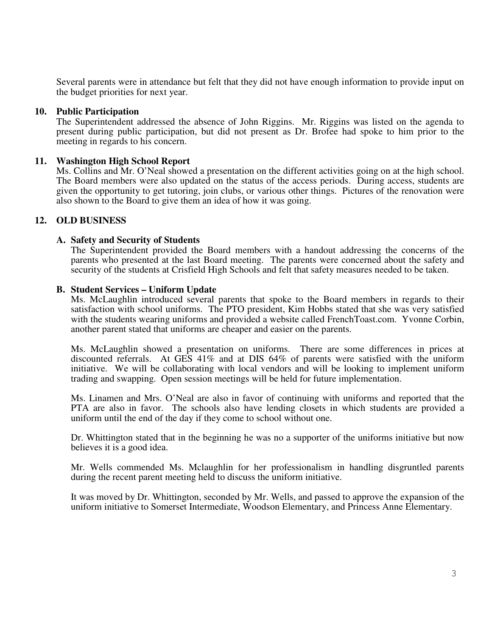Several parents were in attendance but felt that they did not have enough information to provide input on the budget priorities for next year.

### **10. Public Participation**

The Superintendent addressed the absence of John Riggins. Mr. Riggins was listed on the agenda to present during public participation, but did not present as Dr. Brofee had spoke to him prior to the meeting in regards to his concern.

## **11. Washington High School Report**

Ms. Collins and Mr. O'Neal showed a presentation on the different activities going on at the high school. The Board members were also updated on the status of the access periods. During access, students are given the opportunity to get tutoring, join clubs, or various other things. Pictures of the renovation were also shown to the Board to give them an idea of how it was going.

# **12. OLD BUSINESS**

### **A. Safety and Security of Students**

The Superintendent provided the Board members with a handout addressing the concerns of the parents who presented at the last Board meeting. The parents were concerned about the safety and security of the students at Crisfield High Schools and felt that safety measures needed to be taken.

### **B. Student Services – Uniform Update**

Ms. McLaughlin introduced several parents that spoke to the Board members in regards to their satisfaction with school uniforms. The PTO president, Kim Hobbs stated that she was very satisfied with the students wearing uniforms and provided a website called FrenchToast.com. Yvonne Corbin, another parent stated that uniforms are cheaper and easier on the parents.

Ms. McLaughlin showed a presentation on uniforms. There are some differences in prices at discounted referrals. At GES 41% and at DIS 64% of parents were satisfied with the uniform initiative. We will be collaborating with local vendors and will be looking to implement uniform trading and swapping. Open session meetings will be held for future implementation.

Ms. Linamen and Mrs. O'Neal are also in favor of continuing with uniforms and reported that the PTA are also in favor. The schools also have lending closets in which students are provided a uniform until the end of the day if they come to school without one.

Dr. Whittington stated that in the beginning he was no a supporter of the uniforms initiative but now believes it is a good idea.

Mr. Wells commended Ms. Mclaughlin for her professionalism in handling disgruntled parents during the recent parent meeting held to discuss the uniform initiative.

It was moved by Dr. Whittington, seconded by Mr. Wells, and passed to approve the expansion of the uniform initiative to Somerset Intermediate, Woodson Elementary, and Princess Anne Elementary.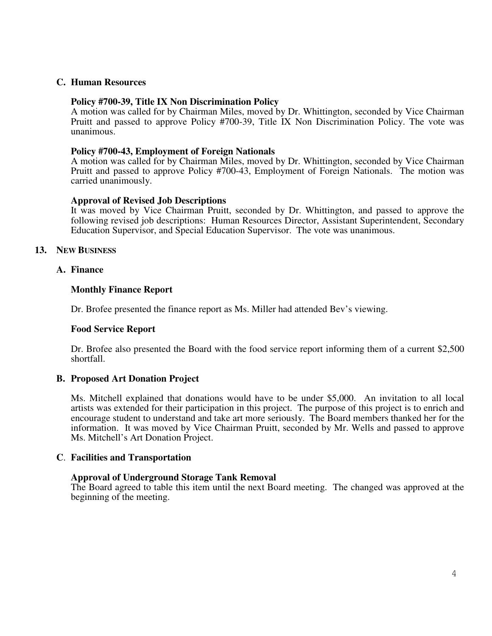## **C. Human Resources**

### **Policy #700-39, Title IX Non Discrimination Policy**

A motion was called for by Chairman Miles, moved by Dr. Whittington, seconded by Vice Chairman Pruitt and passed to approve Policy #700-39, Title IX Non Discrimination Policy. The vote was unanimous.

### **Policy #700-43, Employment of Foreign Nationals**

A motion was called for by Chairman Miles, moved by Dr. Whittington, seconded by Vice Chairman Pruitt and passed to approve Policy #700-43, Employment of Foreign Nationals. The motion was carried unanimously.

## **Approval of Revised Job Descriptions**

It was moved by Vice Chairman Pruitt, seconded by Dr. Whittington, and passed to approve the following revised job descriptions: Human Resources Director, Assistant Superintendent, Secondary Education Supervisor, and Special Education Supervisor. The vote was unanimous.

## **13. NEW BUSINESS**

## **A. Finance**

## **Monthly Finance Report**

Dr. Brofee presented the finance report as Ms. Miller had attended Bev's viewing.

### **Food Service Report**

Dr. Brofee also presented the Board with the food service report informing them of a current \$2,500 shortfall.

# **B. Proposed Art Donation Project**

Ms. Mitchell explained that donations would have to be under \$5,000. An invitation to all local artists was extended for their participation in this project. The purpose of this project is to enrich and encourage student to understand and take art more seriously. The Board members thanked her for the information. It was moved by Vice Chairman Pruitt, seconded by Mr. Wells and passed to approve Ms. Mitchell's Art Donation Project.

### **C**. **Facilities and Transportation**

### **Approval of Underground Storage Tank Removal**

The Board agreed to table this item until the next Board meeting. The changed was approved at the beginning of the meeting.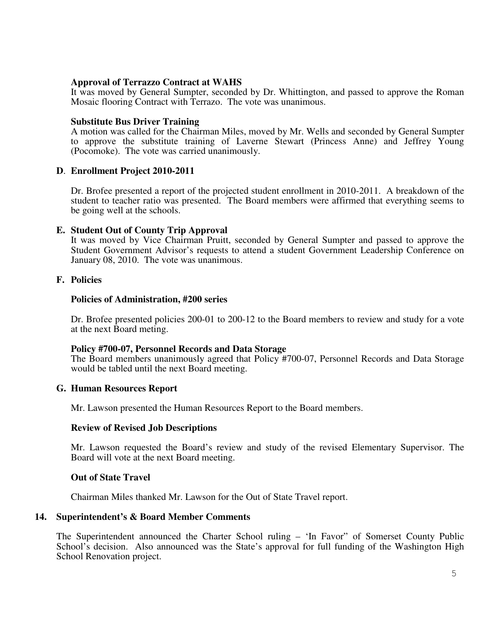### **Approval of Terrazzo Contract at WAHS**

It was moved by General Sumpter, seconded by Dr. Whittington, and passed to approve the Roman Mosaic flooring Contract with Terrazo. The vote was unanimous.

### **Substitute Bus Driver Training**

A motion was called for the Chairman Miles, moved by Mr. Wells and seconded by General Sumpter to approve the substitute training of Laverne Stewart (Princess Anne) and Jeffrey Young (Pocomoke). The vote was carried unanimously.

## **D**. **Enrollment Project 2010-2011**

Dr. Brofee presented a report of the projected student enrollment in 2010-2011. A breakdown of the student to teacher ratio was presented. The Board members were affirmed that everything seems to be going well at the schools.

## **E. Student Out of County Trip Approval**

It was moved by Vice Chairman Pruitt, seconded by General Sumpter and passed to approve the Student Government Advisor's requests to attend a student Government Leadership Conference on January 08, 2010. The vote was unanimous.

## **F. Policies**

### **Policies of Administration, #200 series**

Dr. Brofee presented policies 200-01 to 200-12 to the Board members to review and study for a vote at the next Board meting.

### **Policy #700-07, Personnel Records and Data Storage**

The Board members unanimously agreed that Policy #700-07, Personnel Records and Data Storage would be tabled until the next Board meeting.

### **G. Human Resources Report**

Mr. Lawson presented the Human Resources Report to the Board members.

### **Review of Revised Job Descriptions**

Mr. Lawson requested the Board's review and study of the revised Elementary Supervisor. The Board will vote at the next Board meeting.

### **Out of State Travel**

Chairman Miles thanked Mr. Lawson for the Out of State Travel report.

# **14. Superintendent's & Board Member Comments**

The Superintendent announced the Charter School ruling – 'In Favor" of Somerset County Public School's decision. Also announced was the State's approval for full funding of the Washington High School Renovation project.